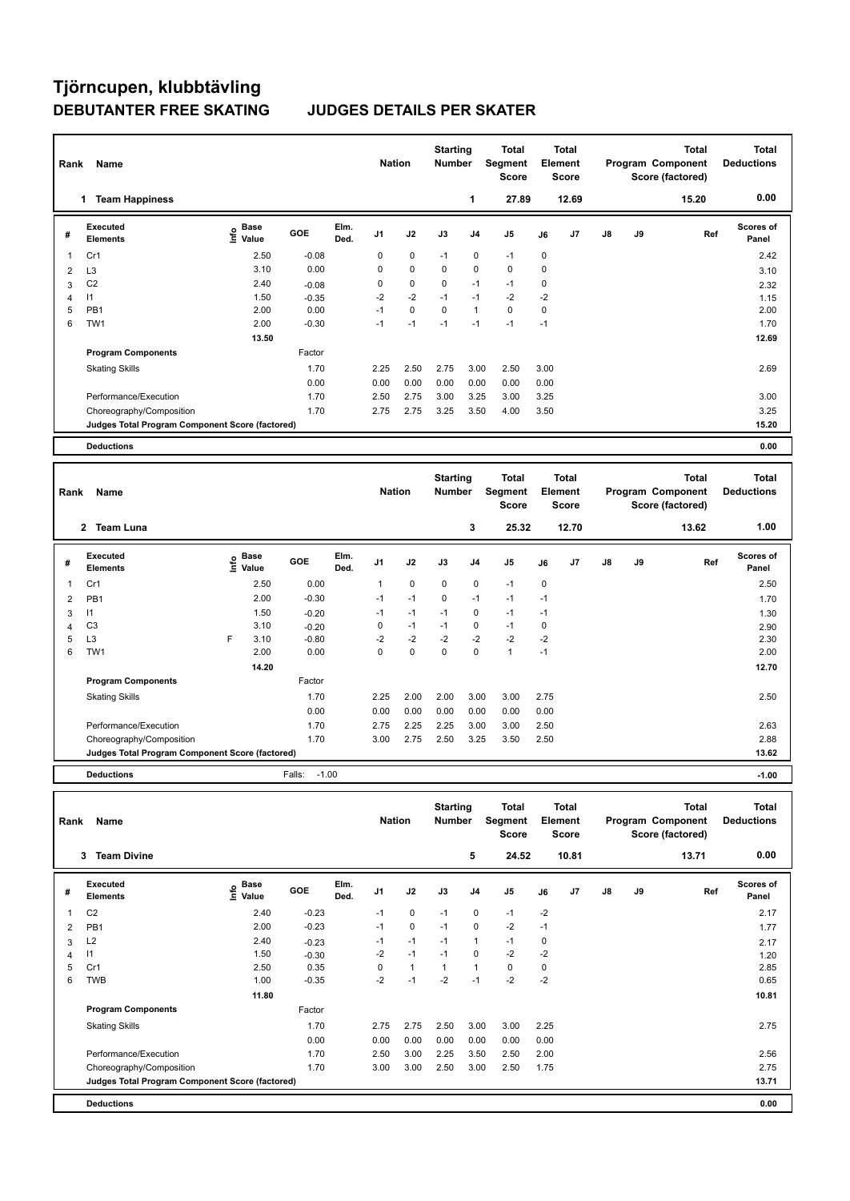## **Tjörncupen, klubbtävling DEBUTANTER FREE SKATING JUDGES DETAILS PER SKATER**

| Rank           | Name                                            |                              |         |              | <b>Nation</b>  |             | <b>Starting</b><br><b>Number</b> |                | <b>Total</b><br>Segment<br><b>Score</b> |             | <b>Total</b><br>Element<br>Score |               |    | <b>Total</b><br>Program Component<br>Score (factored) | <b>Total</b><br><b>Deductions</b> |
|----------------|-------------------------------------------------|------------------------------|---------|--------------|----------------|-------------|----------------------------------|----------------|-----------------------------------------|-------------|----------------------------------|---------------|----|-------------------------------------------------------|-----------------------------------|
|                | <b>Team Happiness</b><br>1                      |                              |         |              |                |             |                                  | 1              | 27.89                                   |             | 12.69                            |               |    | 15.20                                                 | 0.00                              |
| #              | Executed<br><b>Elements</b>                     | <b>Base</b><br>١nf٥<br>Value | GOE     | Elm.<br>Ded. | J <sub>1</sub> | J2          | J3                               | J <sub>4</sub> | J <sub>5</sub>                          | J6          | J <sub>7</sub>                   | $\mathsf{J}8$ | J9 | Ref                                                   | <b>Scores of</b><br>Panel         |
|                | Cr1                                             | 2.50                         | $-0.08$ |              | 0              | 0           | $-1$                             | 0              | $-1$                                    | 0           |                                  |               |    |                                                       | 2.42                              |
| $\overline{2}$ | L <sub>3</sub>                                  | 3.10                         | 0.00    |              | 0              | $\mathbf 0$ | 0                                | $\mathbf 0$    | $\mathbf 0$                             | $\mathbf 0$ |                                  |               |    |                                                       | 3.10                              |
| 3              | C <sub>2</sub>                                  | 2.40                         | $-0.08$ |              | 0              | $\mathbf 0$ | $\mathbf 0$                      | $-1$           | $-1$                                    | $\mathbf 0$ |                                  |               |    |                                                       | 2.32                              |
| 4              | $\mathsf{I}$                                    | 1.50                         | $-0.35$ |              | $-2$           | $-2$        | $-1$                             | $-1$           | $-2$                                    | $-2$        |                                  |               |    |                                                       | 1.15                              |
| 5              | PB <sub>1</sub>                                 | 2.00                         | 0.00    |              | $-1$           | $\mathbf 0$ | $\mathbf 0$                      | $\mathbf{1}$   | $\mathbf 0$                             | $\mathbf 0$ |                                  |               |    |                                                       | 2.00                              |
| 6              | TW <sub>1</sub>                                 | 2.00                         | $-0.30$ |              | $-1$           | $-1$        | $-1$                             | $-1$           | $-1$                                    | $-1$        |                                  |               |    |                                                       | 1.70                              |
|                |                                                 | 13.50                        |         |              |                |             |                                  |                |                                         |             |                                  |               |    |                                                       | 12.69                             |
|                | <b>Program Components</b>                       |                              | Factor  |              |                |             |                                  |                |                                         |             |                                  |               |    |                                                       |                                   |
|                | <b>Skating Skills</b>                           |                              | 1.70    |              | 2.25           | 2.50        | 2.75                             | 3.00           | 2.50                                    | 3.00        |                                  |               |    |                                                       | 2.69                              |
|                |                                                 |                              | 0.00    |              | 0.00           | 0.00        | 0.00                             | 0.00           | 0.00                                    | 0.00        |                                  |               |    |                                                       |                                   |
|                | Performance/Execution                           |                              | 1.70    |              | 2.50           | 2.75        | 3.00                             | 3.25           | 3.00                                    | 3.25        |                                  |               |    |                                                       | 3.00                              |
|                | Choreography/Composition                        |                              | 1.70    |              | 2.75           | 2.75        | 3.25                             | 3.50           | 4.00                                    | 3.50        |                                  |               |    |                                                       | 3.25                              |
|                | Judges Total Program Component Score (factored) |                              |         |              |                |             |                                  |                |                                         |             |                                  |               |    |                                                       | 15.20                             |
|                | <b>Deductions</b>                               |                              |         |              |                |             |                                  |                |                                         |             |                                  |               |    |                                                       | 0.00                              |
|                |                                                 |                              |         |              |                |             | <b>Starting</b>                  |                | Total                                   |             | <b>Total</b>                     |               |    | <b>Total</b>                                          | <b>Total</b>                      |
|                |                                                 |                              |         |              |                |             |                                  |                |                                         |             |                                  |               |    |                                                       |                                   |

| Rank | <b>Name</b>                                     |   |               |                   |              | <b>Nation</b>  |             | Number      |                | Segment<br><b>Score</b> |      | Element<br><b>Score</b> |               |    | Program Component<br>Score (factored) | <b>Deductions</b>         |
|------|-------------------------------------------------|---|---------------|-------------------|--------------|----------------|-------------|-------------|----------------|-------------------------|------|-------------------------|---------------|----|---------------------------------------|---------------------------|
|      | <b>Team Luna</b><br>$\mathbf{2}$                |   |               |                   |              |                |             |             | 3              | 25.32                   |      | 12.70                   |               |    | 13.62                                 | 1.00                      |
| #    | Executed<br><b>Elements</b>                     | ۴ | Base<br>Value | <b>GOE</b>        | Elm.<br>Ded. | J <sub>1</sub> | J2          | J3          | J <sub>4</sub> | J <sub>5</sub>          | J6   | J <sub>7</sub>          | $\mathsf{J}8$ | J9 | Ref                                   | <b>Scores of</b><br>Panel |
|      | Cr1                                             |   | 2.50          | 0.00              |              |                | $\pmb{0}$   | $\mathbf 0$ | 0              | $-1$                    | 0    |                         |               |    |                                       | 2.50                      |
| 2    | PB <sub>1</sub>                                 |   | 2.00          | $-0.30$           |              | $-1$           | $-1$        | 0           | $-1$           | $-1$                    | $-1$ |                         |               |    |                                       | 1.70                      |
| 3    | $\mathsf{I}$                                    |   | 1.50          | $-0.20$           |              | $-1$           | $-1$        | $-1$        | 0              | $-1$                    | $-1$ |                         |               |    |                                       | 1.30                      |
| 4    | C <sub>3</sub>                                  |   | 3.10          | $-0.20$           |              | 0              | $-1$        | $-1$        | 0              | $-1$                    | 0    |                         |               |    |                                       | 2.90                      |
| 5    | L <sub>3</sub>                                  | F | 3.10          | $-0.80$           |              | $-2$           | $-2$        | $-2$        | $-2$           | $-2$                    | $-2$ |                         |               |    |                                       | 2.30                      |
| 6    | TW1                                             |   | 2.00          | 0.00              |              | $\mathbf 0$    | $\mathbf 0$ | $\mathbf 0$ | $\Omega$       | $\mathbf{1}$            | $-1$ |                         |               |    |                                       | 2.00                      |
|      |                                                 |   | 14.20         |                   |              |                |             |             |                |                         |      |                         |               |    |                                       | 12.70                     |
|      | <b>Program Components</b>                       |   |               | Factor            |              |                |             |             |                |                         |      |                         |               |    |                                       |                           |
|      | <b>Skating Skills</b>                           |   |               | 1.70              |              | 2.25           | 2.00        | 2.00        | 3.00           | 3.00                    | 2.75 |                         |               |    |                                       | 2.50                      |
|      |                                                 |   |               | 0.00              |              | 0.00           | 0.00        | 0.00        | 0.00           | 0.00                    | 0.00 |                         |               |    |                                       |                           |
|      | Performance/Execution                           |   |               | 1.70              |              | 2.75           | 2.25        | 2.25        | 3.00           | 3.00                    | 2.50 |                         |               |    |                                       | 2.63                      |
|      | Choreography/Composition                        |   |               | 1.70              |              | 3.00           | 2.75        | 2.50        | 3.25           | 3.50                    | 2.50 |                         |               |    |                                       | 2.88                      |
|      | Judges Total Program Component Score (factored) |   |               |                   |              |                |             |             |                |                         |      |                         |               |    |                                       | 13.62                     |
|      | <b>Deductions</b>                               |   |               | $-1.00$<br>Falls: |              |                |             |             |                |                         |      |                         |               |    |                                       | $-1.00$                   |

| Rank | Name                                            |                              |         |              | <b>Nation</b>  |              | <b>Starting</b><br><b>Number</b> |                | Total<br><b>Segment</b><br><b>Score</b> | Element | <b>Total</b><br><b>Score</b> |               |    | <b>Total</b><br>Program Component<br>Score (factored) | <b>Total</b><br><b>Deductions</b> |
|------|-------------------------------------------------|------------------------------|---------|--------------|----------------|--------------|----------------------------------|----------------|-----------------------------------------|---------|------------------------------|---------------|----|-------------------------------------------------------|-----------------------------------|
|      | <b>Team Divine</b><br>3                         |                              |         |              |                |              |                                  | 5              | 24.52                                   |         | 10.81                        |               |    | 13.71                                                 | 0.00                              |
| #    | Executed<br><b>Elements</b>                     | <b>Base</b><br>Info<br>Value | GOE     | Elm.<br>Ded. | J <sub>1</sub> | J2           | J3                               | J <sub>4</sub> | J <sub>5</sub>                          | J6      | J <sub>7</sub>               | $\mathsf{J}8$ | J9 | Ref                                                   | Scores of<br>Panel                |
| 1    | C <sub>2</sub>                                  | 2.40                         | $-0.23$ |              | $-1$           | $\mathbf 0$  | $-1$                             | 0              | $-1$                                    | $-2$    |                              |               |    |                                                       | 2.17                              |
| 2    | PB <sub>1</sub>                                 | 2.00                         | $-0.23$ |              | $-1$           | $\mathbf 0$  | $-1$                             | 0              | $-2$                                    | $-1$    |                              |               |    |                                                       | 1.77                              |
| 3    | L2                                              | 2.40                         | $-0.23$ |              | $-1$           | $-1$         | $-1$                             | 1              | $-1$                                    | 0       |                              |               |    |                                                       | 2.17                              |
| 4    | 11                                              | 1.50                         | $-0.30$ |              | $-2$           | $-1$         | $-1$                             | 0              | $-2$                                    | $-2$    |                              |               |    |                                                       | 1.20                              |
| 5    | Cr1                                             | 2.50                         | 0.35    |              | 0              | $\mathbf{1}$ | $\mathbf{1}$                     | 1              | $\mathbf 0$                             | 0       |                              |               |    |                                                       | 2.85                              |
| 6    | <b>TWB</b>                                      | 1.00                         | $-0.35$ |              | $-2$           | $-1$         | $-2$                             | $-1$           | $-2$                                    | $-2$    |                              |               |    |                                                       | 0.65                              |
|      |                                                 | 11.80                        |         |              |                |              |                                  |                |                                         |         |                              |               |    |                                                       | 10.81                             |
|      | <b>Program Components</b>                       |                              | Factor  |              |                |              |                                  |                |                                         |         |                              |               |    |                                                       |                                   |
|      | <b>Skating Skills</b>                           |                              | 1.70    |              | 2.75           | 2.75         | 2.50                             | 3.00           | 3.00                                    | 2.25    |                              |               |    |                                                       | 2.75                              |
|      |                                                 |                              | 0.00    |              | 0.00           | 0.00         | 0.00                             | 0.00           | 0.00                                    | 0.00    |                              |               |    |                                                       |                                   |
|      | Performance/Execution                           |                              | 1.70    |              | 2.50           | 3.00         | 2.25                             | 3.50           | 2.50                                    | 2.00    |                              |               |    |                                                       | 2.56                              |
|      | Choreography/Composition                        |                              | 1.70    |              | 3.00           | 3.00         | 2.50                             | 3.00           | 2.50                                    | 1.75    |                              |               |    |                                                       | 2.75                              |
|      | Judges Total Program Component Score (factored) |                              |         |              |                |              |                                  |                |                                         |         |                              |               |    |                                                       | 13.71                             |
|      | <b>Deductions</b>                               |                              |         |              |                |              |                                  |                |                                         |         |                              |               |    |                                                       | 0.00                              |